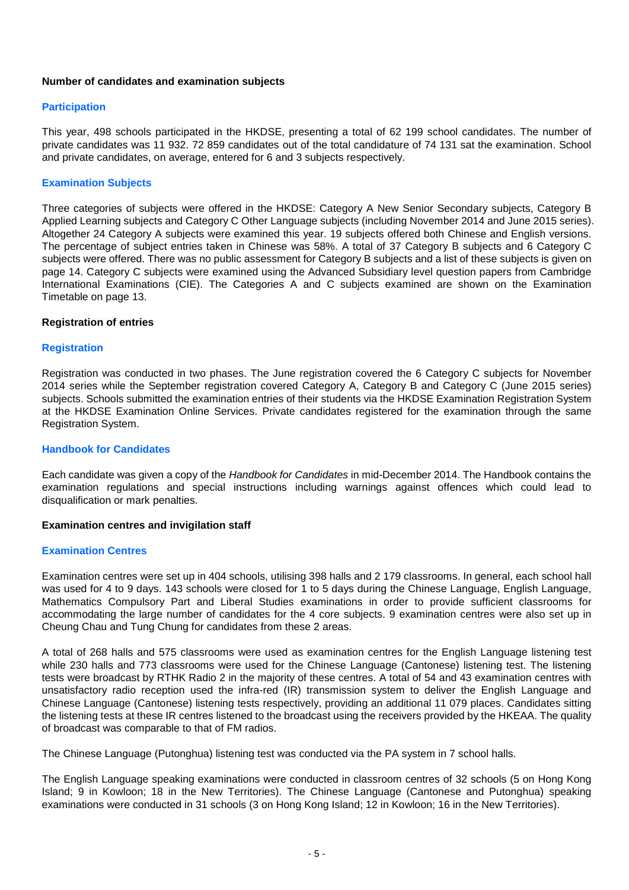## **Number of candidates and examination subjects**

## **Participation**

This year, 498 schools participated in the HKDSE, presenting a total of 62 199 school candidates. The number of private candidates was 11 932. 72 859 candidates out of the total candidature of 74 131 sat the examination. School and private candidates, on average, entered for 6 and 3 subjects respectively.

# **Examination Subjects**

Three categories of subjects were offered in the HKDSE: Category A New Senior Secondary subjects, Category B Applied Learning subjects and Category C Other Language subjects (including November 2014 and June 2015 series). Altogether 24 Category A subjects were examined this year. 19 subjects offered both Chinese and English versions. The percentage of subject entries taken in Chinese was 58%. A total of 37 Category B subjects and 6 Category C subjects were offered. There was no public assessment for Category B subjects and a list of these subjects is given on page 14. Category C subjects were examined using the Advanced Subsidiary level question papers from Cambridge International Examinations (CIE). The Categories A and C subjects examined are shown on the Examination Timetable on page 13.

### **Registration of entries**

# **Registration**

Registration was conducted in two phases. The June registration covered the 6 Category C subjects for November 2014 series while the September registration covered Category A, Category B and Category C (June 2015 series) subjects. Schools submitted the examination entries of their students via the HKDSE Examination Registration System at the HKDSE Examination Online Services. Private candidates registered for the examination through the same Registration System.

### **Handbook for Candidates**

Each candidate was given a copy of the *Handbook for Candidates* in mid-December 2014. The Handbook contains the examination regulations and special instructions including warnings against offences which could lead to disqualification or mark penalties.

### **Examination centres and invigilation staff**

### **Examination Centres**

Examination centres were set up in 404 schools, utilising 398 halls and 2 179 classrooms. In general, each school hall was used for 4 to 9 days. 143 schools were closed for 1 to 5 days during the Chinese Language, English Language, Mathematics Compulsory Part and Liberal Studies examinations in order to provide sufficient classrooms for accommodating the large number of candidates for the 4 core subjects. 9 examination centres were also set up in Cheung Chau and Tung Chung for candidates from these 2 areas.

A total of 268 halls and 575 classrooms were used as examination centres for the English Language listening test while 230 halls and 773 classrooms were used for the Chinese Language (Cantonese) listening test. The listening tests were broadcast by RTHK Radio 2 in the majority of these centres. A total of 54 and 43 examination centres with unsatisfactory radio reception used the infra-red (IR) transmission system to deliver the English Language and Chinese Language (Cantonese) listening tests respectively, providing an additional 11 079 places. Candidates sitting the listening tests at these IR centres listened to the broadcast using the receivers provided by the HKEAA. The quality of broadcast was comparable to that of FM radios.

The Chinese Language (Putonghua) listening test was conducted via the PA system in 7 school halls.

The English Language speaking examinations were conducted in classroom centres of 32 schools (5 on Hong Kong Island; 9 in Kowloon; 18 in the New Territories). The Chinese Language (Cantonese and Putonghua) speaking examinations were conducted in 31 schools (3 on Hong Kong Island; 12 in Kowloon; 16 in the New Territories).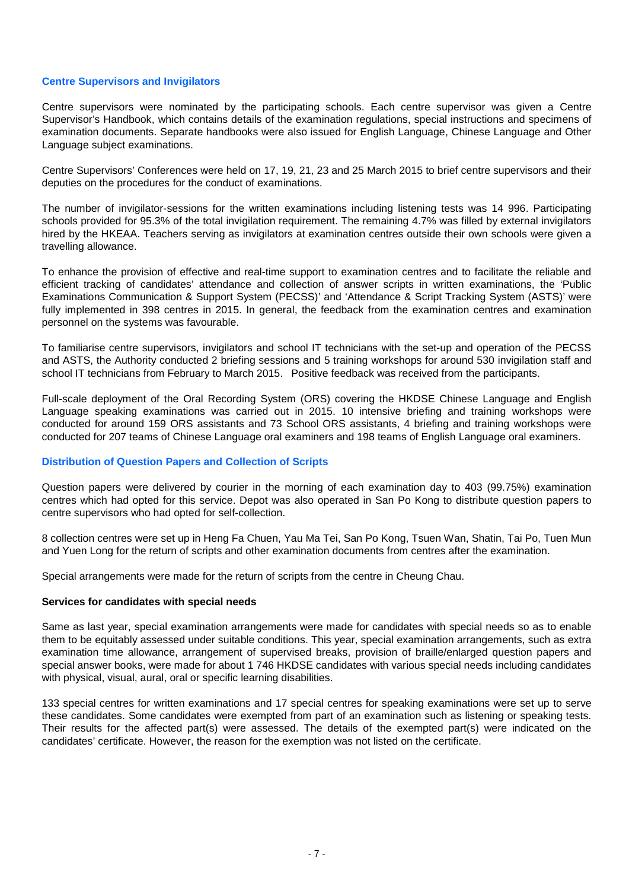# **Centre Supervisors and Invigilators**

Centre supervisors were nominated by the participating schools. Each centre supervisor was given a Centre Supervisor's Handbook, which contains details of the examination regulations, special instructions and specimens of examination documents. Separate handbooks were also issued for English Language, Chinese Language and Other Language subject examinations.

Centre Supervisors' Conferences were held on 17, 19, 21, 23 and 25 March 2015 to brief centre supervisors and their deputies on the procedures for the conduct of examinations.

The number of invigilator-sessions for the written examinations including listening tests was 14 996. Participating schools provided for 95.3% of the total invigilation requirement. The remaining 4.7% was filled by external invigilators hired by the HKEAA. Teachers serving as invigilators at examination centres outside their own schools were given a travelling allowance.

To enhance the provision of effective and real-time support to examination centres and to facilitate the reliable and efficient tracking of candidates' attendance and collection of answer scripts in written examinations, the 'Public Examinations Communication & Support System (PECSS)' and 'Attendance & Script Tracking System (ASTS)' were fully implemented in 398 centres in 2015. In general, the feedback from the examination centres and examination personnel on the systems was favourable.

To familiarise centre supervisors, invigilators and school IT technicians with the set-up and operation of the PECSS and ASTS, the Authority conducted 2 briefing sessions and 5 training workshops for around 530 invigilation staff and school IT technicians from February to March 2015. Positive feedback was received from the participants.

Full-scale deployment of the Oral Recording System (ORS) covering the HKDSE Chinese Language and English Language speaking examinations was carried out in 2015. 10 intensive briefing and training workshops were conducted for around 159 ORS assistants and 73 School ORS assistants, 4 briefing and training workshops were conducted for 207 teams of Chinese Language oral examiners and 198 teams of English Language oral examiners.

### **Distribution of Question Papers and Collection of Scripts**

Question papers were delivered by courier in the morning of each examination day to 403 (99.75%) examination centres which had opted for this service. Depot was also operated in San Po Kong to distribute question papers to centre supervisors who had opted for self-collection.

8 collection centres were set up in Heng Fa Chuen, Yau Ma Tei, San Po Kong, Tsuen Wan, Shatin, Tai Po, Tuen Mun and Yuen Long for the return of scripts and other examination documents from centres after the examination.

Special arrangements were made for the return of scripts from the centre in Cheung Chau.

### **Services for candidates with special needs**

Same as last year, special examination arrangements were made for candidates with special needs so as to enable them to be equitably assessed under suitable conditions. This year, special examination arrangements, such as extra examination time allowance, arrangement of supervised breaks, provision of braille/enlarged question papers and special answer books, were made for about 1 746 HKDSE candidates with various special needs including candidates with physical, visual, aural, oral or specific learning disabilities.

133 special centres for written examinations and 17 special centres for speaking examinations were set up to serve these candidates. Some candidates were exempted from part of an examination such as listening or speaking tests. Their results for the affected part(s) were assessed. The details of the exempted part(s) were indicated on the candidates' certificate. However, the reason for the exemption was not listed on the certificate.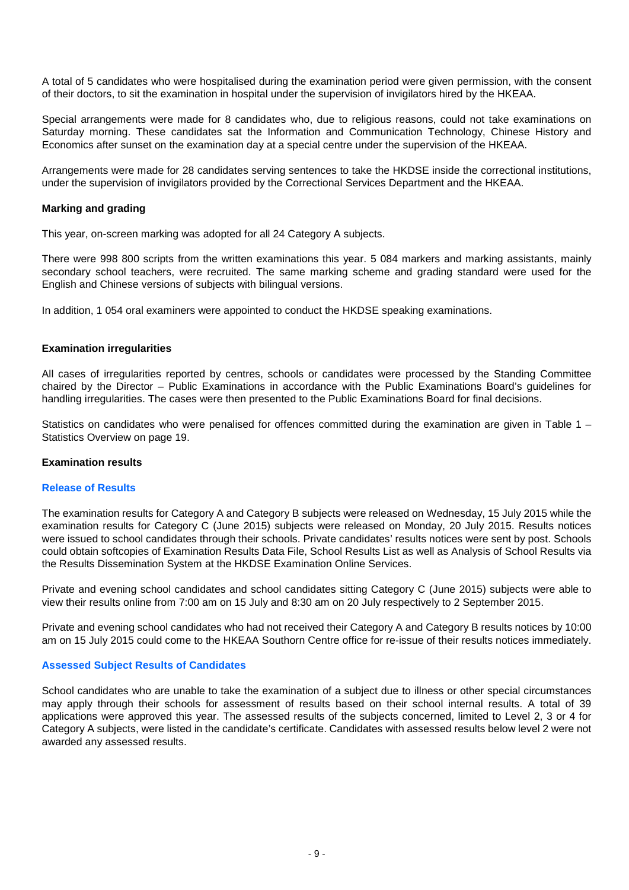A total of 5 candidates who were hospitalised during the examination period were given permission, with the consent of their doctors, to sit the examination in hospital under the supervision of invigilators hired by the HKEAA.

Special arrangements were made for 8 candidates who, due to religious reasons, could not take examinations on Saturday morning. These candidates sat the Information and Communication Technology, Chinese History and Economics after sunset on the examination day at a special centre under the supervision of the HKEAA.

Arrangements were made for 28 candidates serving sentences to take the HKDSE inside the correctional institutions, under the supervision of invigilators provided by the Correctional Services Department and the HKEAA.

# **Marking and grading**

This year, on-screen marking was adopted for all 24 Category A subjects.

There were 998 800 scripts from the written examinations this year. 5 084 markers and marking assistants, mainly secondary school teachers, were recruited. The same marking scheme and grading standard were used for the English and Chinese versions of subjects with bilingual versions.

In addition, 1 054 oral examiners were appointed to conduct the HKDSE speaking examinations.

### **Examination irregularities**

All cases of irregularities reported by centres, schools or candidates were processed by the Standing Committee chaired by the Director – Public Examinations in accordance with the Public Examinations Board's guidelines for handling irregularities. The cases were then presented to the Public Examinations Board for final decisions.

Statistics on candidates who were penalised for offences committed during the examination are given in Table  $1 -$ Statistics Overview on page 19.

### **Examination results**

## **Release of Results**

The examination results for Category A and Category B subjects were released on Wednesday, 15 July 2015 while the examination results for Category C (June 2015) subjects were released on Monday, 20 July 2015. Results notices were issued to school candidates through their schools. Private candidates' results notices were sent by post. Schools could obtain softcopies of Examination Results Data File, School Results List as well as Analysis of School Results via the Results Dissemination System at the HKDSE Examination Online Services.

Private and evening school candidates and school candidates sitting Category C (June 2015) subjects were able to view their results online from 7:00 am on 15 July and 8:30 am on 20 July respectively to 2 September 2015.

Private and evening school candidates who had not received their Category A and Category B results notices by 10:00 am on 15 July 2015 could come to the HKEAA Southorn Centre office for re-issue of their results notices immediately.

# **Assessed Subject Results of Candidates**

School candidates who are unable to take the examination of a subject due to illness or other special circumstances may apply through their schools for assessment of results based on their school internal results. A total of 39 applications were approved this year. The assessed results of the subjects concerned, limited to Level 2, 3 or 4 for Category A subjects, were listed in the candidate's certificate. Candidates with assessed results below level 2 were not awarded any assessed results.